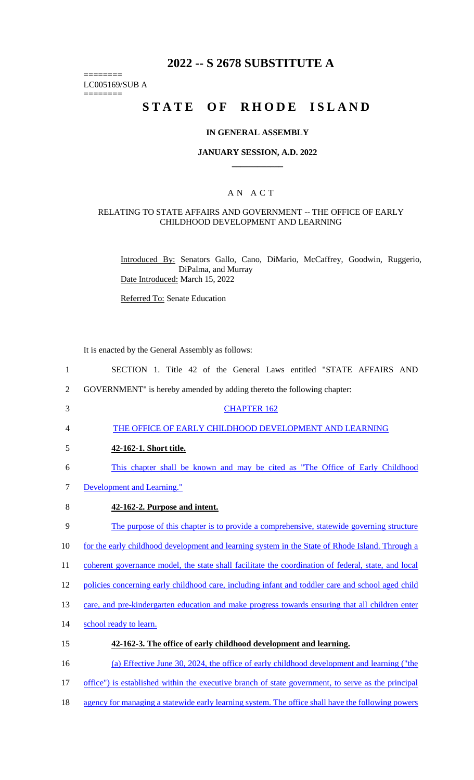# **2022 -- S 2678 SUBSTITUTE A**

======== LC005169/SUB A

========

# STATE OF RHODE ISLAND

#### **IN GENERAL ASSEMBLY**

#### **JANUARY SESSION, A.D. 2022 \_\_\_\_\_\_\_\_\_\_\_\_**

## A N A C T

#### RELATING TO STATE AFFAIRS AND GOVERNMENT -- THE OFFICE OF EARLY CHILDHOOD DEVELOPMENT AND LEARNING

Introduced By: Senators Gallo, Cano, DiMario, McCaffrey, Goodwin, Ruggerio, DiPalma, and Murray Date Introduced: March 15, 2022

Referred To: Senate Education

It is enacted by the General Assembly as follows:

 SECTION 1. Title 42 of the General Laws entitled "STATE AFFAIRS AND GOVERNMENT" is hereby amended by adding thereto the following chapter: CHAPTER 162 THE OFFICE OF EARLY CHILDHOOD DEVELOPMENT AND LEARNING **42-162-1. Short title.**  This chapter shall be known and may be cited as "The Office of Early Childhood Development and Learning." **42-162-2. Purpose and intent.**  The purpose of this chapter is to provide a comprehensive, statewide governing structure 10 for the early childhood development and learning system in the State of Rhode Island. Through a 11 coherent governance model, the state shall facilitate the coordination of federal, state, and local policies concerning early childhood care, including infant and toddler care and school aged child 13 care, and pre-kindergarten education and make progress towards ensuring that all children enter 14 school ready to learn. **42-162-3. The office of early childhood development and learning.**  (a) Effective June 30, 2024, the office of early childhood development and learning ("the 17 office") is established within the executive branch of state government, to serve as the principal agency for managing a statewide early learning system. The office shall have the following powers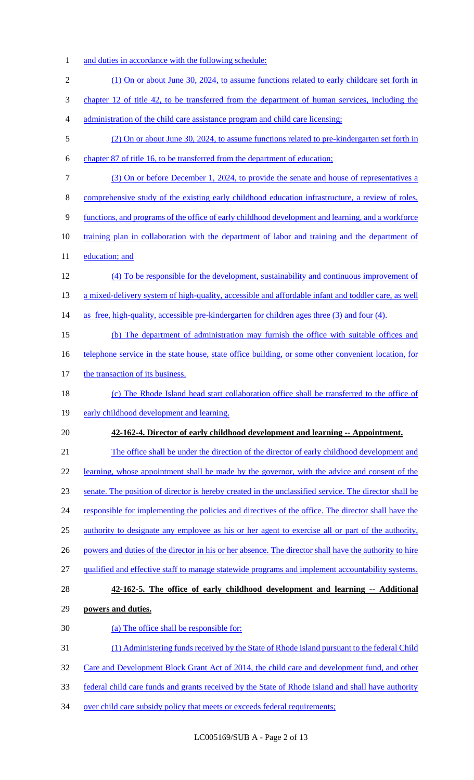- 1 and duties in accordance with the following schedule:
- 2 (1) On or about June 30, 2024, to assume functions related to early childcare set forth in 3 chapter 12 of title 42, to be transferred from the department of human services, including the 4 administration of the child care assistance program and child care licensing; 5 (2) On or about June 30, 2024, to assume functions related to pre-kindergarten set forth in 6 chapter 87 of title 16, to be transferred from the department of education; 7 (3) On or before December 1, 2024, to provide the senate and house of representatives a 8 comprehensive study of the existing early childhood education infrastructure, a review of roles, 9 functions, and programs of the office of early childhood development and learning, and a workforce 10 training plan in collaboration with the department of labor and training and the department of 11 education; and 12 (4) To be responsible for the development, sustainability and continuous improvement of 13 a mixed-delivery system of high-quality, accessible and affordable infant and toddler care, as well 14 as free, high-quality, accessible pre-kindergarten for children ages three (3) and four (4). 15 (b) The department of administration may furnish the office with suitable offices and 16 telephone service in the state house, state office building, or some other convenient location, for 17 the transaction of its business. 18 (c) The Rhode Island head start collaboration office shall be transferred to the office of 19 early childhood development and learning. 20 **42-162-4. Director of early childhood development and learning -- Appointment.**  21 The office shall be under the direction of the director of early childhood development and 22 learning, whose appointment shall be made by the governor, with the advice and consent of the 23 senate. The position of director is hereby created in the unclassified service. The director shall be 24 responsible for implementing the policies and directives of the office. The director shall have the 25 authority to designate any employee as his or her agent to exercise all or part of the authority, 26 powers and duties of the director in his or her absence. The director shall have the authority to hire 27 qualified and effective staff to manage statewide programs and implement accountability systems. 28 **42-162-5. The office of early childhood development and learning -- Additional**  29 **powers and duties.**  30 (a) The office shall be responsible for: 31 (1) Administering funds received by the State of Rhode Island pursuant to the federal Child 32 Care and Development Block Grant Act of 2014, the child care and development fund, and other 33 federal child care funds and grants received by the State of Rhode Island and shall have authority 34 over child care subsidy policy that meets or exceeds federal requirements;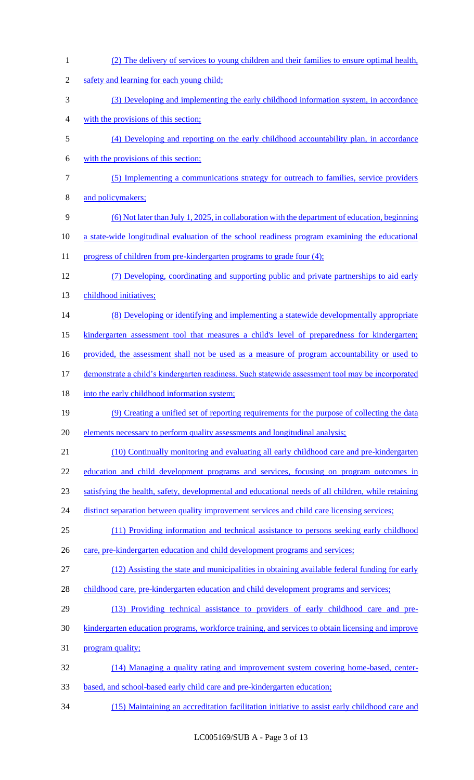| $\mathbf{1}$   | (2) The delivery of services to young children and their families to ensure optimal health,         |
|----------------|-----------------------------------------------------------------------------------------------------|
| $\mathfrak{2}$ | safety and learning for each young child;                                                           |
| 3              | (3) Developing and implementing the early childhood information system, in accordance               |
| 4              | with the provisions of this section;                                                                |
| 5              | (4) Developing and reporting on the early childhood accountability plan, in accordance              |
| 6              | with the provisions of this section;                                                                |
| 7              | (5) Implementing a communications strategy for outreach to families, service providers              |
| 8              | and policymakers;                                                                                   |
| 9              | (6) Not later than July 1, 2025, in collaboration with the department of education, beginning       |
| 10             | a state-wide longitudinal evaluation of the school readiness program examining the educational      |
| 11             | progress of children from pre-kindergarten programs to grade four (4);                              |
| 12             | (7) Developing, coordinating and supporting public and private partnerships to aid early            |
| 13             | childhood initiatives;                                                                              |
| 14             | (8) Developing or identifying and implementing a statewide developmentally appropriate              |
| 15             | kindergarten assessment tool that measures a child's level of preparedness for kindergarten;        |
| 16             | provided, the assessment shall not be used as a measure of program accountability or used to        |
| 17             | demonstrate a child's kindergarten readiness. Such statewide assessment tool may be incorporated    |
| 18             | into the early childhood information system;                                                        |
| 19             | (9) Creating a unified set of reporting requirements for the purpose of collecting the data         |
| 20             | elements necessary to perform quality assessments and longitudinal analysis;                        |
| 21             | (10) Continually monitoring and evaluating all early childhood care and pre-kindergarten            |
| 22             | education and child development programs and services, focusing on program outcomes in              |
| 23             | satisfying the health, safety, developmental and educational needs of all children, while retaining |
| 24             | distinct separation between quality improvement services and child care licensing services;         |
| 25             | (11) Providing information and technical assistance to persons seeking early childhood              |
| 26             | care, pre-kindergarten education and child development programs and services;                       |
| 27             | (12) Assisting the state and municipalities in obtaining available federal funding for early        |
| 28             | childhood care, pre-kindergarten education and child development programs and services;             |
| 29             | (13) Providing technical assistance to providers of early childhood care and pre-                   |
| 30             | kindergarten education programs, workforce training, and services to obtain licensing and improve   |
| 31             | program quality;                                                                                    |
| 32             | (14) Managing a quality rating and improvement system covering home-based, center-                  |
| 33             | based, and school-based early child care and pre-kindergarten education;                            |
| 34             | (15) Maintaining an accreditation facilitation initiative to assist early childhood care and        |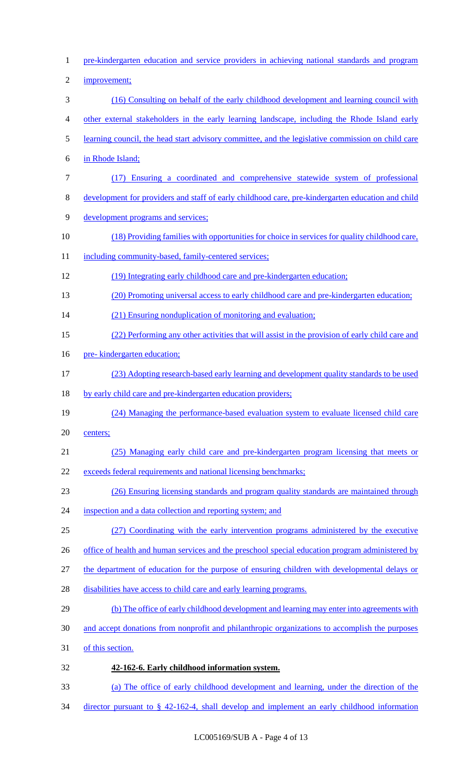pre-kindergarten education and service providers in achieving national standards and program improvement; (16) Consulting on behalf of the early childhood development and learning council with other external stakeholders in the early learning landscape, including the Rhode Island early learning council, the head start advisory committee, and the legislative commission on child care in Rhode Island; (17) Ensuring a coordinated and comprehensive statewide system of professional development for providers and staff of early childhood care, pre-kindergarten education and child development programs and services; (18) Providing families with opportunities for choice in services for quality childhood care, 11 including community-based, family-centered services; (19) Integrating early childhood care and pre-kindergarten education; (20) Promoting universal access to early childhood care and pre-kindergarten education; 14 (21) Ensuring nonduplication of monitoring and evaluation; (22) Performing any other activities that will assist in the provision of early child care and 16 pre- kindergarten education; (23) Adopting research-based early learning and development quality standards to be used 18 by early child care and pre-kindergarten education providers; (24) Managing the performance-based evaluation system to evaluate licensed child care centers; (25) Managing early child care and pre-kindergarten program licensing that meets or exceeds federal requirements and national licensing benchmarks; (26) Ensuring licensing standards and program quality standards are maintained through 24 inspection and a data collection and reporting system; and (27) Coordinating with the early intervention programs administered by the executive 26 office of health and human services and the preschool special education program administered by 27 the department of education for the purpose of ensuring children with developmental delays or 28 disabilities have access to child care and early learning programs. 29 (b) The office of early childhood development and learning may enter into agreements with and accept donations from nonprofit and philanthropic organizations to accomplish the purposes of this section. **42-162-6. Early childhood information system.**  (a) The office of early childhood development and learning, under the direction of the director pursuant to § 42-162-4, shall develop and implement an early childhood information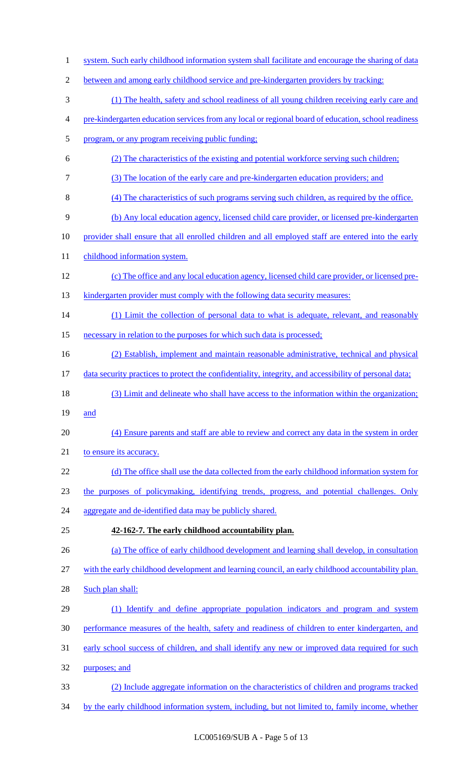| 1              | system. Such early childhood information system shall facilitate and encourage the sharing of data     |
|----------------|--------------------------------------------------------------------------------------------------------|
| $\overline{2}$ | between and among early childhood service and pre-kindergarten providers by tracking:                  |
| 3              | (1) The health, safety and school readiness of all young children receiving early care and             |
| 4              | pre-kindergarten education services from any local or regional board of education, school readiness    |
| 5              | program, or any program receiving public funding;                                                      |
| 6              | (2) The characteristics of the existing and potential workforce serving such children;                 |
| $\tau$         | (3) The location of the early care and pre-kindergarten education providers; and                       |
| 8              | (4) The characteristics of such programs serving such children, as required by the office.             |
| 9              | (b) Any local education agency, licensed child care provider, or licensed pre-kindergarten             |
| 10             | provider shall ensure that all enrolled children and all employed staff are entered into the early     |
| 11             | childhood information system.                                                                          |
| 12             | (c) The office and any local education agency, licensed child care provider, or licensed pre-          |
| 13             | kindergarten provider must comply with the following data security measures:                           |
| 14             | (1) Limit the collection of personal data to what is adequate, relevant, and reasonably                |
| 15             | necessary in relation to the purposes for which such data is processed;                                |
| 16             | (2) Establish, implement and maintain reasonable administrative, technical and physical                |
| 17             | data security practices to protect the confidentiality, integrity, and accessibility of personal data; |
| 18             | (3) Limit and delineate who shall have access to the information within the organization;              |
| 19             | and                                                                                                    |
| 20             | (4) Ensure parents and staff are able to review and correct any data in the system in order            |
| 21             | to ensure its accuracy.                                                                                |
| 22             | (d) The office shall use the data collected from the early childhood information system for            |
| 23             | the purposes of policymaking, identifying trends, progress, and potential challenges. Only             |
| 24             | aggregate and de-identified data may be publicly shared.                                               |
| 25             | 42-162-7. The early childhood accountability plan.                                                     |
| 26             | (a) The office of early childhood development and learning shall develop, in consultation              |
| 27             | with the early childhood development and learning council, an early childhood accountability plan.     |
| 28             | Such plan shall:                                                                                       |
| 29             | (1) Identify and define appropriate population indicators and program and system                       |
| 30             | performance measures of the health, safety and readiness of children to enter kindergarten, and        |
| 31             | early school success of children, and shall identify any new or improved data required for such        |
| 32             | purposes; and                                                                                          |
| 33             | (2) Include aggregate information on the characteristics of children and programs tracked              |
| 34             | by the early childhood information system, including, but not limited to, family income, whether       |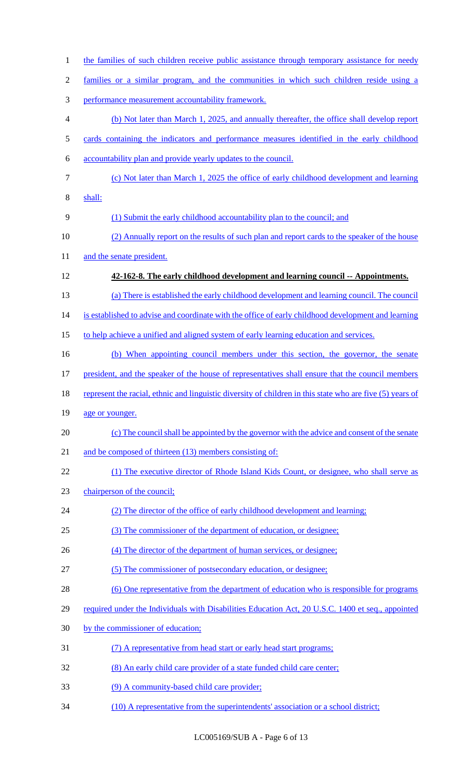| $\mathbf{1}$   | the families of such children receive public assistance through temporary assistance for needy            |
|----------------|-----------------------------------------------------------------------------------------------------------|
| $\overline{2}$ | families or a similar program, and the communities in which such children reside using a                  |
| 3              | performance measurement accountability framework.                                                         |
| $\overline{4}$ | (b) Not later than March 1, 2025, and annually thereafter, the office shall develop report                |
| 5              | cards containing the indicators and performance measures identified in the early childhood                |
| 6              | accountability plan and provide yearly updates to the council.                                            |
| $\tau$         | (c) Not later than March 1, 2025 the office of early childhood development and learning                   |
| 8              | shall:                                                                                                    |
| 9              | (1) Submit the early childhood accountability plan to the council; and                                    |
| 10             | (2) Annually report on the results of such plan and report cards to the speaker of the house              |
| 11             | and the senate president.                                                                                 |
| 12             | 42-162-8. The early childhood development and learning council -- Appointments.                           |
| 13             | (a) There is established the early childhood development and learning council. The council                |
| 14             | is established to advise and coordinate with the office of early childhood development and learning       |
| 15             | to help achieve a unified and aligned system of early learning education and services.                    |
| 16             | (b) When appointing council members under this section, the governor, the senate                          |
| 17             | president, and the speaker of the house of representatives shall ensure that the council members          |
| 18             | represent the racial, ethnic and linguistic diversity of children in this state who are five (5) years of |
| 19             | age or younger.                                                                                           |
| 20             | (c) The council shall be appointed by the governor with the advice and consent of the senate              |
| 21             | and be composed of thirteen (13) members consisting of:                                                   |
| 22             | (1) The executive director of Rhode Island Kids Count, or designee, who shall serve as                    |
| 23             | chairperson of the council;                                                                               |
| 24             | (2) The director of the office of early childhood development and learning;                               |
| 25             | (3) The commissioner of the department of education, or designee;                                         |
| 26             | (4) The director of the department of human services, or designee;                                        |
| 27             | (5) The commissioner of postsecondary education, or designee;                                             |
| 28             | (6) One representative from the department of education who is responsible for programs                   |
| 29             | required under the Individuals with Disabilities Education Act, 20 U.S.C. 1400 et seq., appointed         |
| 30             | by the commissioner of education;                                                                         |
| 31             | (7) A representative from head start or early head start programs;                                        |
| 32             | (8) An early child care provider of a state funded child care center;                                     |
| 33             | (9) A community-based child care provider;                                                                |
|                |                                                                                                           |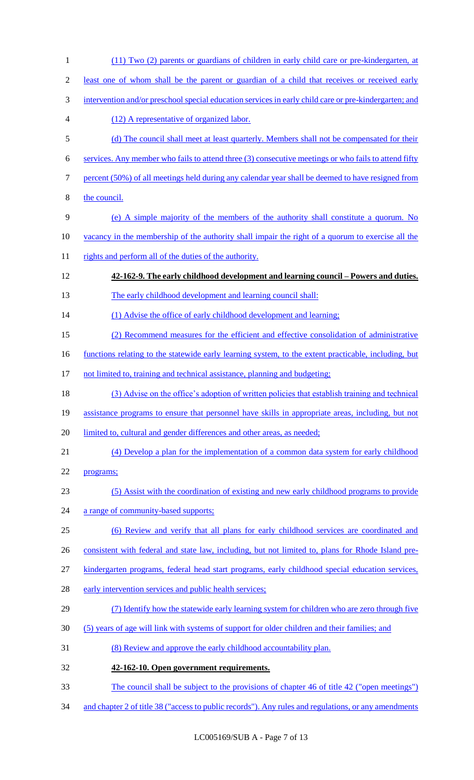| $\mathbf{1}$     | (11) Two (2) parents or guardians of children in early child care or pre-kindergarten, at                   |
|------------------|-------------------------------------------------------------------------------------------------------------|
| $\overline{2}$   | least one of whom shall be the parent or guardian of a child that receives or received early                |
| 3                | intervention and/or preschool special education services in early child care or pre-kindergarten; and       |
| 4                | (12) A representative of organized labor.                                                                   |
| 5                | (d) The council shall meet at least quarterly. Members shall not be compensated for their                   |
| 6                | services. Any member who fails to attend three (3) consecutive meetings or who fails to attend fifty        |
| $\boldsymbol{7}$ | percent (50%) of all meetings held during any calendar year shall be deemed to have resigned from           |
| $8\,$            | the council.                                                                                                |
| 9                | (e) A simple majority of the members of the authority shall constitute a quorum. No                         |
| 10               | <u>vacancy in the membership of the authority shall impair the right of a quorum to exercise all the</u>    |
| 11               | rights and perform all of the duties of the authority.                                                      |
| 12               | 42-162-9. The early childhood development and learning council – Powers and duties.                         |
| 13               | The early childhood development and learning council shall:                                                 |
| 14               | (1) Advise the office of early childhood development and learning;                                          |
| 15               | (2) Recommend measures for the efficient and effective consolidation of administrative                      |
| 16               | <u>functions relating to the statewide early learning system, to the extent practicable, including, but</u> |
| 17               | not limited to, training and technical assistance, planning and budgeting;                                  |
| 18               | (3) Advise on the office's adoption of written policies that establish training and technical               |
| 19               | assistance programs to ensure that personnel have skills in appropriate areas, including, but not           |
| 20               | limited to, cultural and gender differences and other areas, as needed;                                     |
| 21               | (4) Develop a plan for the implementation of a common data system for early childhood                       |
| 22               | programs;                                                                                                   |
| 23               | (5) Assist with the coordination of existing and new early childhood programs to provide                    |
| 24               | a range of community-based supports;                                                                        |
| 25               | (6) Review and verify that all plans for early childhood services are coordinated and                       |
| 26               | consistent with federal and state law, including, but not limited to, plans for Rhode Island pre-           |
| 27               | kindergarten programs, federal head start programs, early childhood special education services,             |
| 28               | early intervention services and public health services;                                                     |
| 29               | (7) Identify how the statewide early learning system for children who are zero through five                 |
| 30               | (5) years of age will link with systems of support for older children and their families; and               |
| 31               | (8) Review and approve the early childhood accountability plan.                                             |
| 32               | 42-162-10. Open government requirements.                                                                    |
| 33               | <u>The council shall be subject to the provisions of chapter 46 of title 42 ("open meetings")</u>           |
| 34               | and chapter 2 of title 38 ("access to public records"). Any rules and regulations, or any amendments        |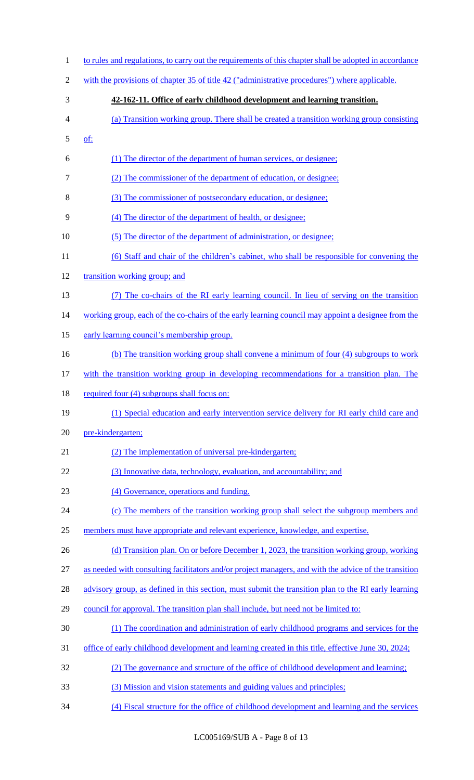| $\mathbf{1}$   | to rules and regulations, to carry out the requirements of this chapter shall be adopted in accordance    |
|----------------|-----------------------------------------------------------------------------------------------------------|
| $\overline{2}$ | with the provisions of chapter 35 of title 42 ("administrative procedures") where applicable.             |
| 3              | 42-162-11. Office of early childhood development and learning transition.                                 |
| 4              | (a) Transition working group. There shall be created a transition working group consisting                |
| 5              | <u>of:</u>                                                                                                |
| 6              | (1) The director of the department of human services, or designee;                                        |
| 7              | (2) The commissioner of the department of education, or designee;                                         |
| 8              | (3) The commissioner of postsecondary education, or designee;                                             |
| 9              | (4) The director of the department of health, or designee;                                                |
| 10             | (5) The director of the department of administration, or designee;                                        |
| 11             | (6) Staff and chair of the children's cabinet, who shall be responsible for convening the                 |
| 12             | transition working group; and                                                                             |
| 13             | The co-chairs of the RI early learning council. In lieu of serving on the transition                      |
| 14             | working group, each of the co-chairs of the early learning council may appoint a designee from the        |
| 15             | early learning council's membership group.                                                                |
| 16             | (b) The transition working group shall convene a minimum of four (4) subgroups to work                    |
| 17             | with the transition working group in developing recommendations for a transition plan. The                |
| 18             | required four (4) subgroups shall focus on:                                                               |
| 19             | (1) Special education and early intervention service delivery for RI early child care and                 |
| 20             | pre-kindergarten;                                                                                         |
| 21             | (2) The implementation of universal pre-kindergarten;                                                     |
| 22             | (3) Innovative data, technology, evaluation, and accountability; and                                      |
| 23             | (4) Governance, operations and funding.                                                                   |
| 24             | (c) The members of the transition working group shall select the subgroup members and                     |
| 25             | members must have appropriate and relevant experience, knowledge, and expertise.                          |
| 26             | (d) Transition plan. On or before December 1, 2023, the transition working group, working                 |
| 27             | as needed with consulting facilitators and/or project managers, and with the advice of the transition     |
| 28             | advisory group, as defined in this section, must submit the transition plan to the RI early learning      |
| 29             | council for approval. The transition plan shall include, but need not be limited to:                      |
| 30             | (1) The coordination and administration of early childhood programs and services for the                  |
| 31             | <u>office of early childhood development and learning created in this title, effective June 30, 2024;</u> |
| 32             | (2) The governance and structure of the office of childhood development and learning;                     |
| 33             | (3) Mission and vision statements and guiding values and principles;                                      |
| 34             | (4) Fiscal structure for the office of childhood development and learning and the services                |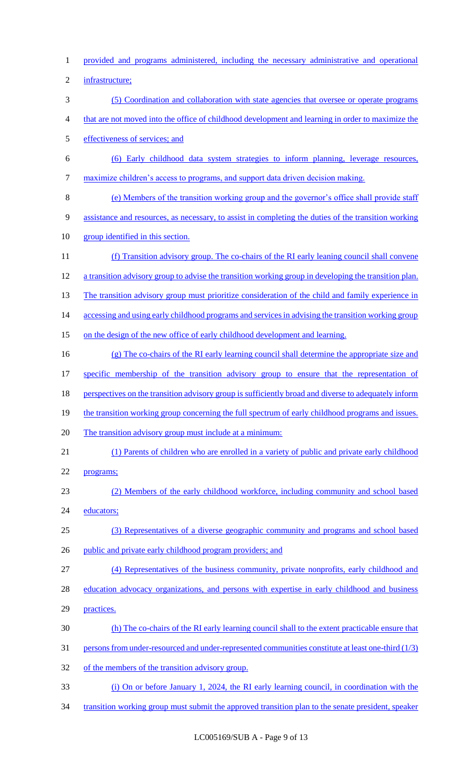provided and programs administered, including the necessary administrative and operational infrastructure; (5) Coordination and collaboration with state agencies that oversee or operate programs that are not moved into the office of childhood development and learning in order to maximize the effectiveness of services; and (6) Early childhood data system strategies to inform planning, leverage resources, maximize children's access to programs, and support data driven decision making. (e) Members of the transition working group and the governor's office shall provide staff assistance and resources, as necessary, to assist in completing the duties of the transition working group identified in this section. (f) Transition advisory group. The co-chairs of the RI early leaning council shall convene a transition advisory group to advise the transition working group in developing the transition plan. 13 The transition advisory group must prioritize consideration of the child and family experience in 14 accessing and using early childhood programs and services in advising the transition working group 15 on the design of the new office of early childhood development and learning. (g) The co-chairs of the RI early learning council shall determine the appropriate size and specific membership of the transition advisory group to ensure that the representation of 18 perspectives on the transition advisory group is sufficiently broad and diverse to adequately inform 19 the transition working group concerning the full spectrum of early childhood programs and issues. 20 The transition advisory group must include at a minimum: (1) Parents of children who are enrolled in a variety of public and private early childhood programs; (2) Members of the early childhood workforce, including community and school based 24 educators; (3) Representatives of a diverse geographic community and programs and school based 26 public and private early childhood program providers; and (4) Representatives of the business community, private nonprofits, early childhood and 28 education advocacy organizations, and persons with expertise in early childhood and business practices. (h) The co-chairs of the RI early learning council shall to the extent practicable ensure that 31 persons from under-resourced and under-represented communities constitute at least one-third (1/3) of the members of the transition advisory group. (i) On or before January 1, 2024, the RI early learning council, in coordination with the transition working group must submit the approved transition plan to the senate president, speaker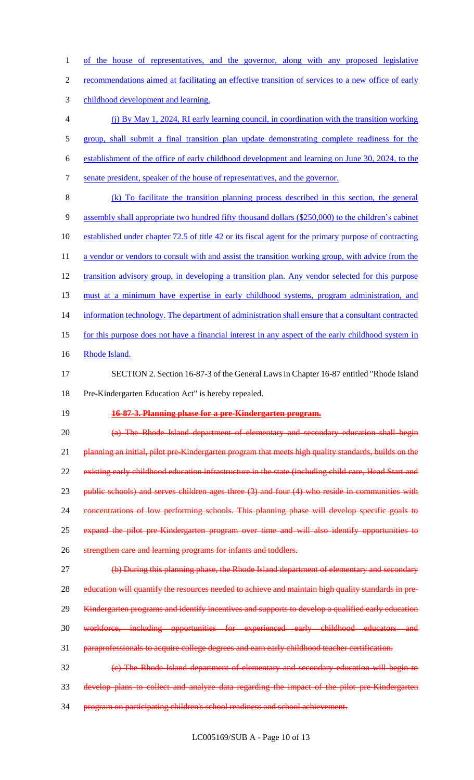of the house of representatives, and the governor, along with any proposed legislative

recommendations aimed at facilitating an effective transition of services to a new office of early

childhood development and learning.

- (j) By May 1, 2024, RI early learning council, in coordination with the transition working group, shall submit a final transition plan update demonstrating complete readiness for the establishment of the office of early childhood development and learning on June 30, 2024, to the senate president, speaker of the house of representatives, and the governor. (k) To facilitate the transition planning process described in this section, the general
- assembly shall appropriate two hundred fifty thousand dollars (\$250,000) to the children's cabinet established under chapter 72.5 of title 42 or its fiscal agent for the primary purpose of contracting 11 a vendor or vendors to consult with and assist the transition working group, with advice from the 12 transition advisory group, in developing a transition plan. Any vendor selected for this purpose 13 must at a minimum have expertise in early childhood systems, program administration, and 14 information technology. The department of administration shall ensure that a consultant contracted for this purpose does not have a financial interest in any aspect of the early childhood system in 16 Rhode Island.
- SECTION 2. Section 16-87-3 of the General Laws in Chapter 16-87 entitled "Rhode Island Pre-Kindergarten Education Act" is hereby repealed.
- 

#### **16-87-3. Planning phase for a pre-Kindergarten program.**

 (a) The Rhode Island department of elementary and secondary education shall begin 21 planning an initial, pilot pre-Kindergarten program that meets high quality standards, builds on the 22 existing early childhood education infrastructure in the state (including child care, Head Start and 23 public schools) and serves children ages three (3) and four (4) who reside in communities with concentrations of low performing schools. This planning phase will develop specific goals to expand the pilot pre-Kindergarten program over time and will also identify opportunities to strengthen care and learning programs for infants and toddlers. 27 (b) During this planning phase, the Rhode Island department of elementary and secondary

28 education will quantify the resources needed to achieve and maintain high quality standards in pre-

29 Kindergarten programs and identify incentives and supports to develop a qualified early education

workforce, including opportunities for experienced early childhood educators and

paraprofessionals to acquire college degrees and earn early childhood teacher certification.

 (c) The Rhode Island department of elementary and secondary education will begin to develop plans to collect and analyze data regarding the impact of the pilot pre-Kindergarten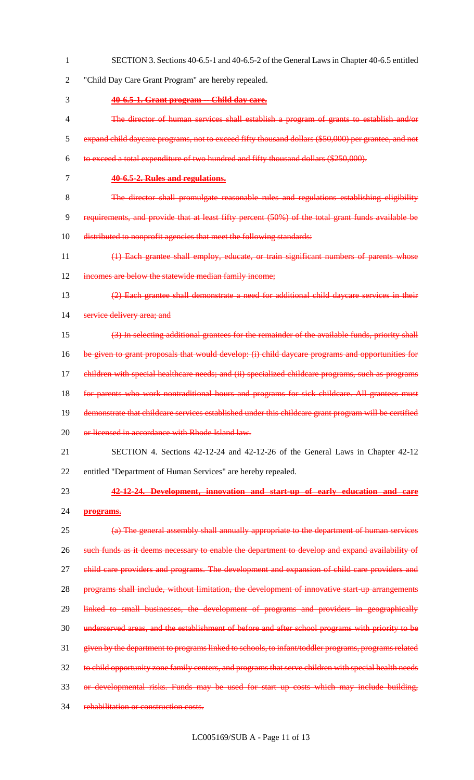"Child Day Care Grant Program" are hereby repealed. **40-6.5-1. Grant program -- Child day care.** The director of human services shall establish a program of grants to establish and/or expand child daycare programs, not to exceed fifty thousand dollars (\$50,000) per grantee, and not to exceed a total expenditure of two hundred and fifty thousand dollars (\$250,000). **40-6.5-2. Rules and regulations.** The director shall promulgate reasonable rules and regulations establishing eligibility requirements, and provide that at least fifty percent (50%) of the total grant funds available be 10 distributed to nonprofit agencies that meet the following standards: (1) Each grantee shall employ, educate, or train significant numbers of parents whose 12 incomes are below the statewide median family income; (2) Each grantee shall demonstrate a need for additional child daycare services in their 14 service delivery area; and (3) In selecting additional grantees for the remainder of the available funds, priority shall be given to grant proposals that would develop: (i) child daycare programs and opportunities for children with special healthcare needs; and (ii) specialized childcare programs, such as programs 18 for parents who work nontraditional hours and programs for sick childcare. All grantees must 19 demonstrate that childcare services established under this childcare grant program will be certified 20 or licensed in accordance with Rhode Island law. SECTION 4. Sections 42-12-24 and 42-12-26 of the General Laws in Chapter 42-12 entitled "Department of Human Services" are hereby repealed. **42-12-24. Development, innovation and start-up of early education and care programs.** (a) The general assembly shall annually appropriate to the department of human services 26 such funds as it deems necessary to enable the department to develop and expand availability of 27 child care providers and programs. The development and expansion of child care providers and 28 programs shall include, without limitation, the development of innovative start-up arrangements linked to small businesses, the development of programs and providers in geographically underserved areas, and the establishment of before and after school programs with priority to be given by the department to programs linked to schools, to infant/toddler programs, programs related 32 to child opportunity zone family centers, and programs that serve children with special health needs 33 or developmental risks. Funds may be used for start up costs which may include building, rehabilitation or construction costs.

SECTION 3. Sections 40-6.5-1 and 40-6.5-2 of the General Laws in Chapter 40-6.5 entitled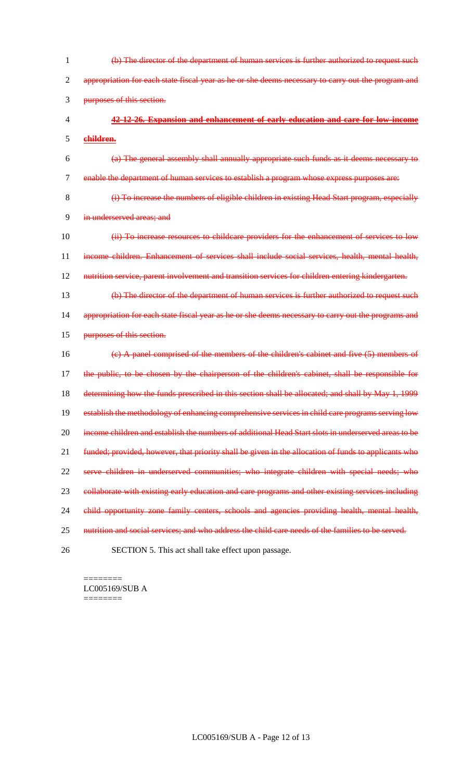| 1              | (b) The director of the department of human services is further authorized to request such           |
|----------------|------------------------------------------------------------------------------------------------------|
| $\overline{2}$ | appropriation for each state fiscal year as he or she deems necessary to carry out the program and   |
| 3              | purposes of this section.                                                                            |
| 4              | 42-12-26. Expansion and enhancement of early education and care for low-income                       |
| 5              | children.                                                                                            |
| 6              | (a) The general assembly shall annually appropriate such funds as it deems necessary to              |
| $\overline{7}$ | enable the department of human services to establish a program whose express purposes are:           |
| 8              | (i) To increase the numbers of eligible children in existing Head Start program, especially          |
| 9              | in underserved areas; and                                                                            |
| 10             | (ii) To increase resources to childcare providers for the enhancement of services to low             |
| 11             | income children. Enhancement of services shall include social services, health, mental health,       |
| 12             | nutrition service, parent involvement and transition services for children entering kindergarten.    |
| 13             | (b) The director of the department of human services is further authorized to request such           |
| 14             | appropriation for each state fiscal year as he or she deems necessary to carry out the programs and  |
| 15             | purposes of this section.                                                                            |
| 16             | (e) A panel comprised of the members of the children's cabinet and five (5) members of               |
| 17             | the public, to be chosen by the chairperson of the children's cabinet, shall be responsible for      |
| 18             | determining how the funds prescribed in this section shall be allocated; and shall by May 1, 1999    |
| 19             | establish the methodology of enhancing comprehensive services in child care programs serving low     |
| 20             | income children and establish the numbers of additional Head Start slots in underserved areas to be  |
| 21             | funded; provided, however, that priority shall be given in the allocation of funds to applicants who |
| 22             | serve children in underserved communities; who integrate children with special needs; who            |
| 23             | collaborate with existing early education and care programs and other existing services including    |
| 24             | child opportunity zone family centers, schools and agencies providing health, mental health,         |
| 25             | nutrition and social services; and who address the child care needs of the families to be served.    |
| 26             | SECTION 5. This act shall take effect upon passage.                                                  |

======== LC005169/SUB A ========